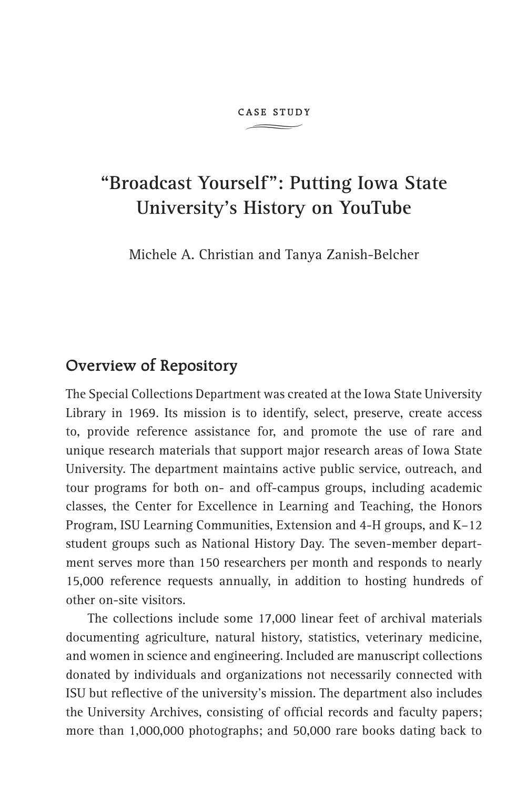#### **c a s e s t u d y** $\overline{\phantom{a}}$

# **"Broadcast Yourself": Putting Iowa State University's History on YouTube**

Michele A. Christian and Tanya Zanish-Belcher

### **Overview of Repository**

The Special Collections Department was created at the Iowa State University Library in 1969. Its mission is to identify, select, preserve, create access to, provide reference assistance for, and promote the use of rare and unique research materials that support major research areas of Iowa State University. The department maintains active public service, outreach, and tour programs for both on- and off-campus groups, including academic classes, the Center for Excellence in Learning and Teaching, the Honors Program, ISU Learning Communities, Extension and 4-H groups, and K–12 student groups such as National History Day. The seven-member department serves more than 150 researchers per month and responds to nearly 15,000 reference requests annually, in addition to hosting hundreds of other on-site visitors.

The collections include some 17,000 linear feet of archival materials documenting agriculture, natural history, statistics, veterinary medicine, and women in science and engineering. Included are manuscript collections donated by individuals and organizations not necessarily connected with ISU but reflective of the university's mission. The department also includes the University Archives, consisting of official records and faculty papers; more than 1,000,000 photographs; and 50,000 rare books dating back to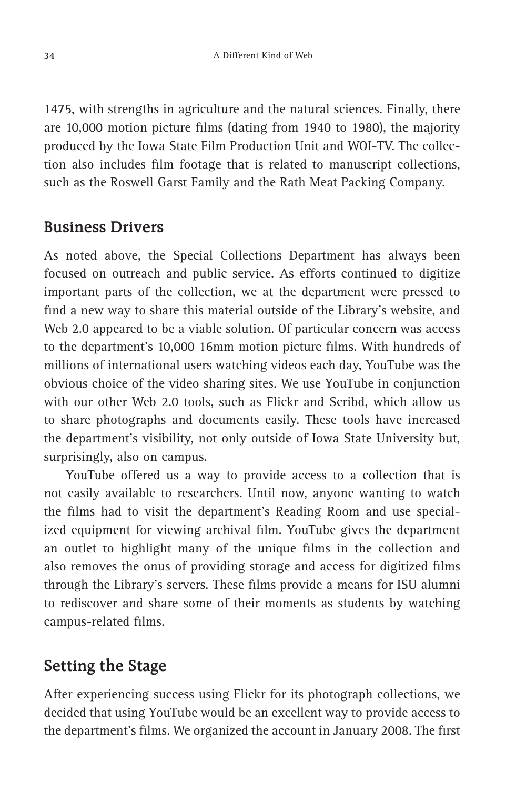1475, with strengths in agriculture and the natural sciences. Finally, there are 10,000 motion picture films (dating from 1940 to 1980), the majority produced by the Iowa State Film Production Unit and WOI-TV. The collection also includes film footage that is related to manuscript collections, such as the Roswell Garst Family and the Rath Meat Packing Company.

## **Business Drivers**

As noted above, the Special Collections Department has always been focused on outreach and public service. As efforts continued to digitize important parts of the collection, we at the department were pressed to find a new way to share this material outside of the Library's website, and Web 2.0 appeared to be a viable solution. Of particular concern was access to the department's 10,000 16mm motion picture films. With hundreds of millions of international users watching videos each day, YouTube was the obvious choice of the video sharing sites. We use YouTube in conjunction with our other Web 2.0 tools, such as Flickr and Scribd, which allow us to share photographs and documents easily. These tools have increased the department's visibility, not only outside of Iowa State University but, surprisingly, also on campus.

YouTube offered us a way to provide access to a collection that is not easily available to researchers. Until now, anyone wanting to watch the films had to visit the department's Reading Room and use specialized equipment for viewing archival film. YouTube gives the department an outlet to highlight many of the unique films in the collection and also removes the onus of providing storage and access for digitized films through the Library's servers. These films provide a means for ISU alumni to rediscover and share some of their moments as students by watching campus-related films.

# **Setting the Stage**

After experiencing success using Flickr for its photograph collections, we decided that using YouTube would be an excellent way to provide access to the department's films. We organized the account in January 2008. The first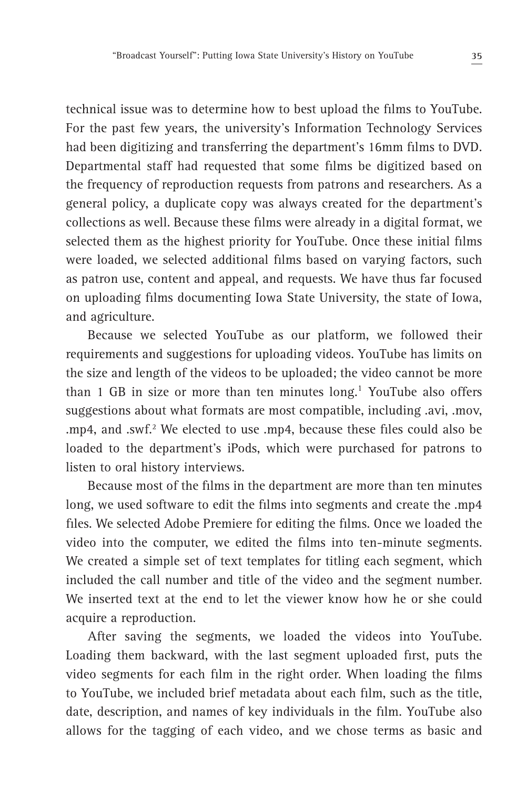technical issue was to determine how to best upload the films to YouTube. For the past few years, the university's Information Technology Services had been digitizing and transferring the department's 16mm films to DVD. Departmental staff had requested that some films be digitized based on the frequency of reproduction requests from patrons and researchers. As a general policy, a duplicate copy was always created for the department's collections as well. Because these films were already in a digital format, we selected them as the highest priority for YouTube. Once these initial films were loaded, we selected additional films based on varying factors, such as patron use, content and appeal, and requests. We have thus far focused on uploading films documenting Iowa State University, the state of Iowa, and agriculture.

Because we selected YouTube as our platform, we followed their requirements and suggestions for uploading videos. YouTube has limits on the size and length of the videos to be uploaded; the video cannot be more than 1 GB in size or more than ten minutes  $\log$ <sup>1</sup> YouTube also offers suggestions about what formats are most compatible, including .avi, .mov, .mp4, and .swf.2 We elected to use .mp4, because these files could also be loaded to the department's iPods, which were purchased for patrons to listen to oral history interviews.

Because most of the films in the department are more than ten minutes long, we used software to edit the films into segments and create the .mp4 files. We selected Adobe Premiere for editing the films. Once we loaded the video into the computer, we edited the films into ten-minute segments. We created a simple set of text templates for titling each segment, which included the call number and title of the video and the segment number. We inserted text at the end to let the viewer know how he or she could acquire a reproduction.

After saving the segments, we loaded the videos into YouTube. Loading them backward, with the last segment uploaded first, puts the video segments for each film in the right order. When loading the films to YouTube, we included brief metadata about each film, such as the title, date, description, and names of key individuals in the film. YouTube also allows for the tagging of each video, and we chose terms as basic and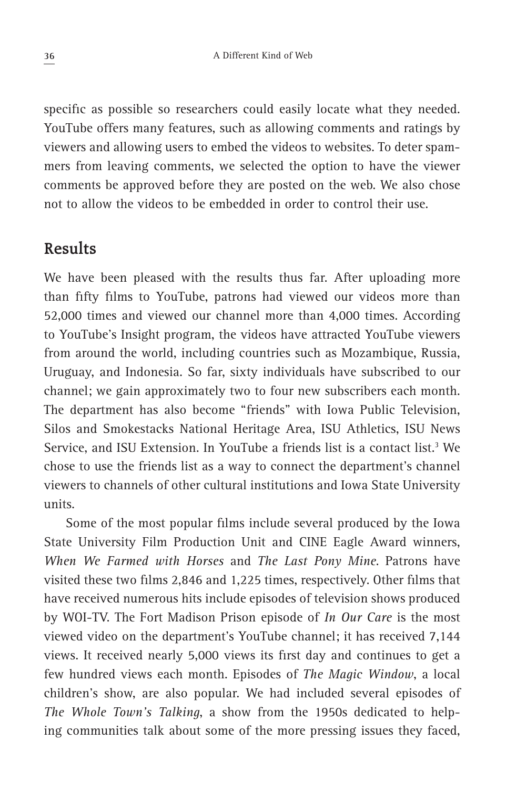specific as possible so researchers could easily locate what they needed. YouTube offers many features, such as allowing comments and ratings by viewers and allowing users to embed the videos to websites. To deter spammers from leaving comments, we selected the option to have the viewer comments be approved before they are posted on the web. We also chose not to allow the videos to be embedded in order to control their use.

## **Results**

We have been pleased with the results thus far. After uploading more than fifty films to YouTube, patrons had viewed our videos more than 52,000 times and viewed our channel more than 4,000 times. According to YouTube's Insight program, the videos have attracted YouTube viewers from around the world, including countries such as Mozambique, Russia, Uruguay, and Indonesia. So far, sixty individuals have subscribed to our channel; we gain approximately two to four new subscribers each month. The department has also become "friends" with Iowa Public Television, Silos and Smokestacks National Heritage Area, ISU Athletics, ISU News Service, and ISU Extension. In YouTube a friends list is a contact list.<sup>3</sup> We chose to use the friends list as a way to connect the department's channel viewers to channels of other cultural institutions and Iowa State University units.

Some of the most popular films include several produced by the Iowa State University Film Production Unit and CINE Eagle Award winners, *When We Farmed with Horses* and *The Last Pony Mine*. Patrons have visited these two films 2,846 and 1,225 times, respectively. Other films that have received numerous hits include episodes of television shows produced by WOI-TV. The Fort Madison Prison episode of *In Our Care* is the most viewed video on the department's YouTube channel; it has received 7,144 views. It received nearly 5,000 views its first day and continues to get a few hundred views each month. Episodes of *The Magic Window*, a local children's show, are also popular. We had included several episodes of *The Whole Town's Talking*, a show from the 1950s dedicated to helping communities talk about some of the more pressing issues they faced,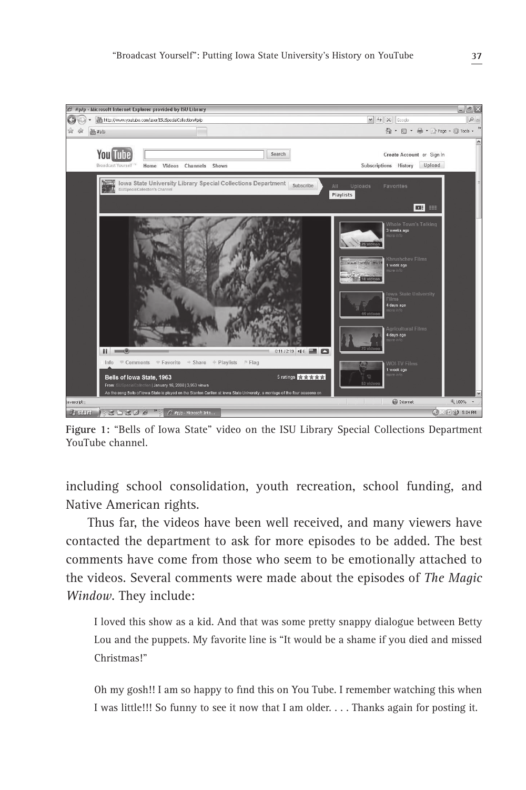

**Figure 1:** "Bells of Iowa State" video on the ISU Library Special Collections Department YouTube channel.

including school consolidation, youth recreation, school funding, and Native American rights.

Thus far, the videos have been well received, and many viewers have contacted the department to ask for more episodes to be added. The best comments have come from those who seem to be emotionally attached to the videos. Several comments were made about the episodes of *The Magic Window*. They include:

I loved this show as a kid. And that was some pretty snappy dialogue between Betty Lou and the puppets. My favorite line is "It would be a shame if you died and missed Christmas!"

Oh my gosh!! I am so happy to find this on You Tube. I remember watching this when I was little!!! So funny to see it now that I am older. . . . Thanks again for posting it.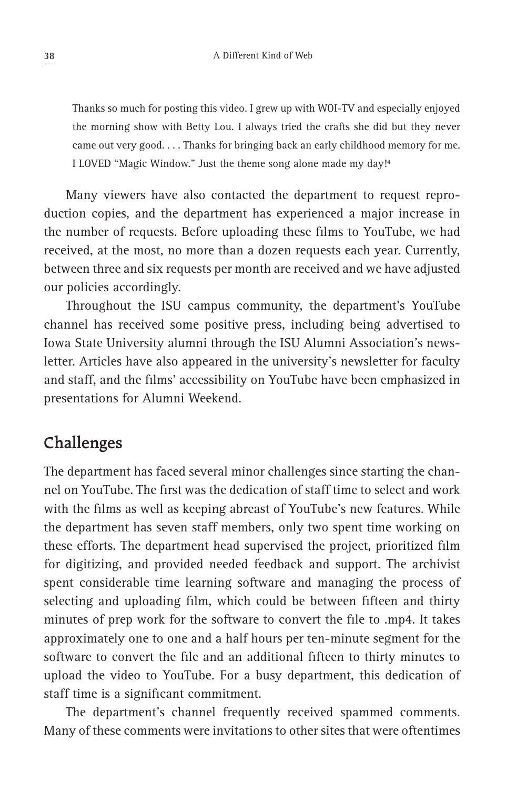Thanks so much for posting this video. I grew up with WOI-TV and especially enjoyed the morning show with Betty Lou. I always tried the crafts she did but they never came out very good. . . . Thanks for bringing back an early childhood memory for me. I LOVED "Magic Window." Just the theme song alone made my day!4

Many viewers have also contacted the department to request reproduction copies, and the department has experienced a major increase in the number of requests. Before uploading these films to YouTube, we had received, at the most, no more than a dozen requests each year. Currently, between three and six requests per month are received and we have adjusted our policies accordingly.

Throughout the ISU campus community, the department's YouTube channel has received some positive press, including being advertised to Iowa State University alumni through the ISU Alumni Association's newsletter. Articles have also appeared in the university's newsletter for faculty and staff, and the films' accessibility on YouTube have been emphasized in presentations for Alumni Weekend.

# **Challenges**

The department has faced several minor challenges since starting the channel on YouTube. The first was the dedication of staff time to select and work with the films as well as keeping abreast of YouTube's new features. While the department has seven staff members, only two spent time working on these efforts. The department head supervised the project, prioritized film for digitizing, and provided needed feedback and support. The archivist spent considerable time learning software and managing the process of selecting and uploading film, which could be between fifteen and thirty minutes of prep work for the software to convert the file to .mp4. It takes approximately one to one and a half hours per ten-minute segment for the software to convert the file and an additional fifteen to thirty minutes to upload the video to YouTube. For a busy department, this dedication of staff time is a significant commitment.

The department's channel frequently received spammed comments. Many of these comments were invitations to other sites that were oftentimes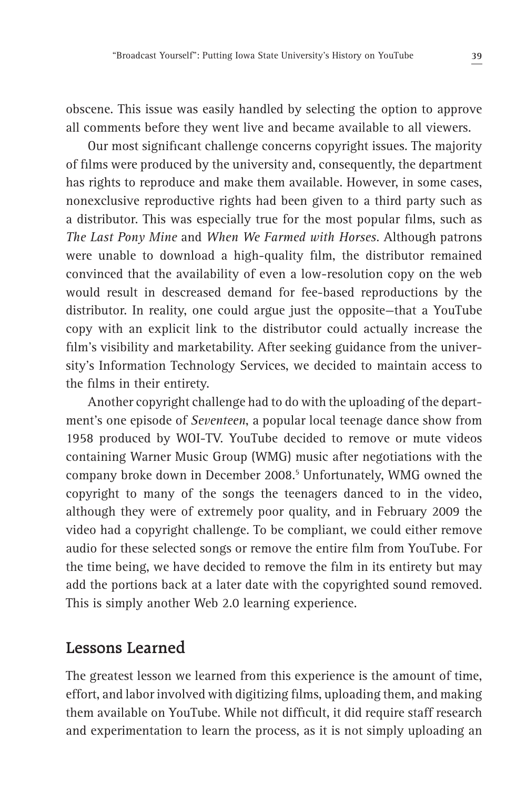obscene. This issue was easily handled by selecting the option to approve all comments before they went live and became available to all viewers.

Our most significant challenge concerns copyright issues. The majority of films were produced by the university and, consequently, the department has rights to reproduce and make them available. However, in some cases, nonexclusive reproductive rights had been given to a third party such as a distributor. This was especially true for the most popular films, such as *The Last Pony Mine* and *When We Farmed with Horses*. Although patrons were unable to download a high-quality film, the distributor remained convinced that the availability of even a low-resolution copy on the web would result in descreased demand for fee-based reproductions by the distributor. In reality, one could argue just the opposite—that a YouTube copy with an explicit link to the distributor could actually increase the film's visibility and marketability. After seeking guidance from the university's Information Technology Services, we decided to maintain access to the films in their entirety.

Another copyright challenge had to do with the uploading of the department's one episode of *Seventeen*, a popular local teenage dance show from 1958 produced by WOI-TV. YouTube decided to remove or mute videos containing Warner Music Group (WMG) music after negotiations with the company broke down in December 2008.<sup>5</sup> Unfortunately, WMG owned the copyright to many of the songs the teenagers danced to in the video, although they were of extremely poor quality, and in February 2009 the video had a copyright challenge. To be compliant, we could either remove audio for these selected songs or remove the entire film from YouTube. For the time being, we have decided to remove the film in its entirety but may add the portions back at a later date with the copyrighted sound removed. This is simply another Web 2.0 learning experience.

#### **Lessons Learned**

The greatest lesson we learned from this experience is the amount of time, effort, and labor involved with digitizing films, uploading them, and making them available on YouTube. While not difficult, it did require staff research and experimentation to learn the process, as it is not simply uploading an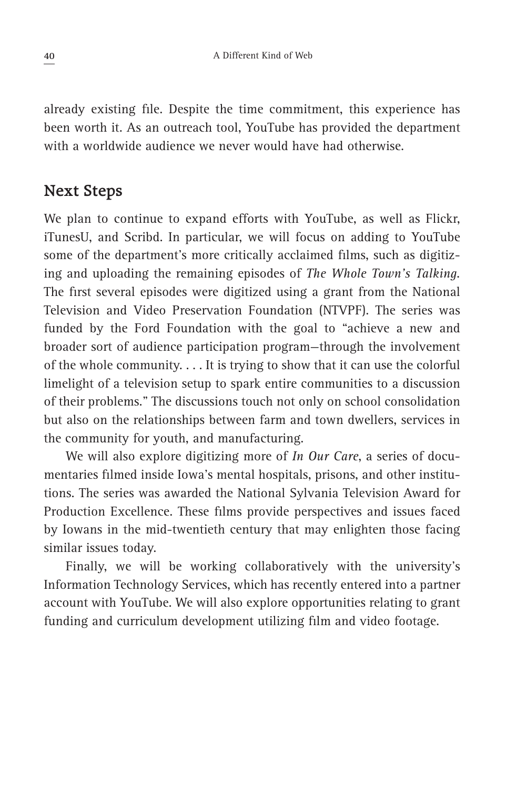already existing file. Despite the time commitment, this experience has been worth it. As an outreach tool, YouTube has provided the department with a worldwide audience we never would have had otherwise.

#### **Next Steps**

We plan to continue to expand efforts with YouTube, as well as Flickr, iTunesU, and Scribd. In particular, we will focus on adding to YouTube some of the department's more critically acclaimed films, such as digitizing and uploading the remaining episodes of *The Whole Town's Talking.* The first several episodes were digitized using a grant from the National Television and Video Preservation Foundation (NTVPF). The series was funded by the Ford Foundation with the goal to "achieve a new and broader sort of audience participation program—through the involvement of the whole community. . . . It is trying to show that it can use the colorful limelight of a television setup to spark entire communities to a discussion of their problems." The discussions touch not only on school consolidation but also on the relationships between farm and town dwellers, services in the community for youth, and manufacturing.

We will also explore digitizing more of *In Our Care*, a series of documentaries filmed inside Iowa's mental hospitals, prisons, and other institutions. The series was awarded the National Sylvania Television Award for Production Excellence. These films provide perspectives and issues faced by Iowans in the mid-twentieth century that may enlighten those facing similar issues today.

Finally, we will be working collaboratively with the university's Information Technology Services, which has recently entered into a partner account with YouTube. We will also explore opportunities relating to grant funding and curriculum development utilizing film and video footage.